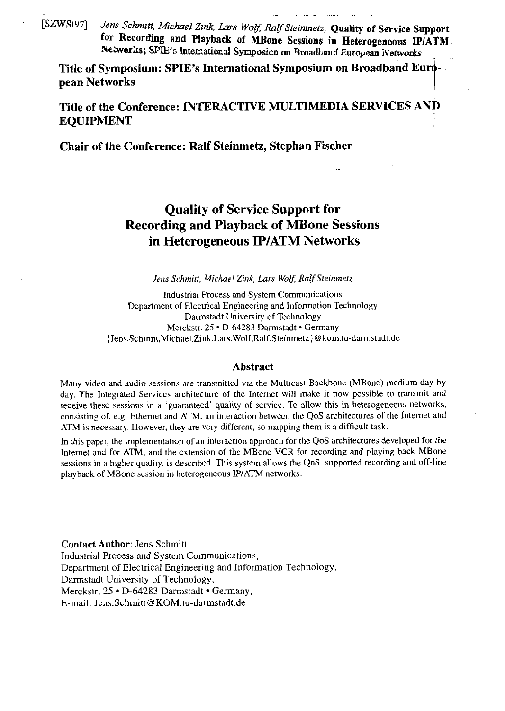[sZWSt97] *Jens Schmitt, Michael Zink, Lars* **Wog** *RalfSteinmetz;* **Quality of Service Support for Recording and Playback of MBone Sessions in Heterogeneous IPIATN Ne-horks;** WE's **hter;iatimd Synposicn an Broadtaiid European Netwurks** . ~

~ ~

Title of Symposium: SPIE's International Symposium on Broadband Euro-<br>pean Networks

# **Title of the Conference: INTERACTIVE MULTIMEDIA SERVICES AND EQUIPMENT**

**Chair of the Conference: Ralf Steinmetz, Stephan Fischer** 

# **Quality of Service Support for Recording and Playback of MBone Sessions in Heterogeneous IPIATM Networks**

*Jens Schmitt, Michael Zink, Lars Wolf, Ralf Steinmetz* 

Industrial Process and System Communications Department of Electncal Engineering and Information Technology Darmstadt University of Technology Merckstr. 25 · D-64283 Darmstadt · Germany [Jens.Schmitt,Michae1.Zink,Lars.Wolf,Ralf.Steinmetz)@kom.tu-damstadt.de

#### **Abstract**

Many video and audio sessions are transmitted via the Multicast Backbone (MBone) medium day by day. The Integrated Services architecture of the Internet will make it now possible to transmit and receive these sessions in a 'guaranteed' quality of service. To allow this in heterogeneous networks, consisting of, e.g. Ethemet and ATM, an interaction between the QoS architectures of the Internet and ATM is necessary. However, they are very different, so mapping them is a difficult task.

In this paper, the implementation of an interaction approach for the QoS architectures developed for the Internet and for ATM, and the extension of the MBone VCR for recording and playing back MBone sessions in a higher quality, is described. This system allows the QoS supported recording and off-line playback of MBone session in heterogeneous LPIATM networks.

**Contact Author:** Jens Schmitt, Industrial Process and System Communications, Department of Electrical Engineering and Information Technology, Darmstadt University of Technology, Merckstr. 25 · D-64283 Darmstadt · Germany, E-mail: Jens.Schrnitt@KOM.tu-darmstadt.de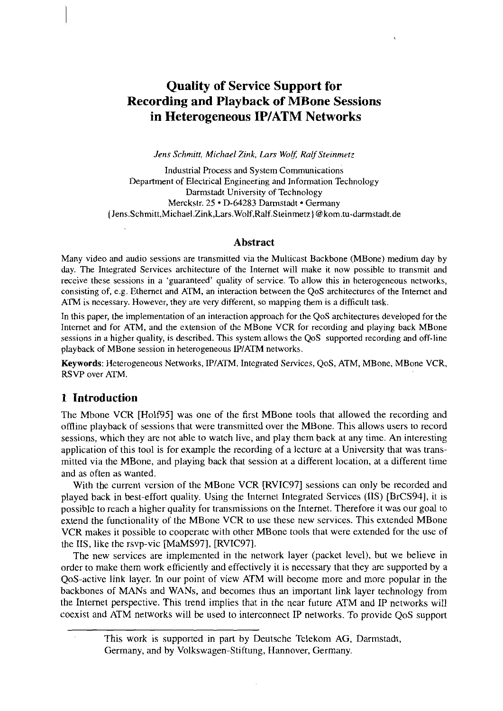# **Quality of Service Support for Recording and Playback of MBone Sessions in Heterogeneous IPIATM Networks**

*Jens Schmitt, Michael Zirik, Lars Wolf; Ralf Steinmetz* 

Industrial Process and System Communications Department of Electrical Engineering and Information Technology Darmstadt University of Technology Merckstr. 25 · D-64283 Darmstadt · Germany **(Jens.Schmitt,Michael.Zink,Lars.Wolf,Ralf.Steinmetz)** @kom.tu-darmstadt.de

#### **Abstract**

Many video and audio sessions are transmitted via the Multicast Backbone (MBone) medium day by day. The Integrated Services architecture of the Internet will make it now possible to transmit and receive these sessions in a 'guaranteed' quality of service. To allow this in heterogeneous networks, consisting of, e.g. Ethernet and ATM, an interaction between the QoS architectures of the Internet and ATM is necessary. However, they are very different, so mapping them is a difficult task.

In this paper, the implementation of an interaction approach for the QoS architectures developed for the Internet and for ATM, and the extension of the MBone VCR for recording and playing back MBone sessions in a higher quality, is described. This system allows the QoS supported recording and off-line playback of MBone session in heterogeneous IPIATM networks.

**Keywords:** Heterogeneous Networks, IPIATM. Integrated Services, QoS, ATM, MBone. MBone VCR, RSVP over ATM.

## **1 Introduction**

The Mbone VCR [Holf95] was one of the first MBone tools that allowed the recording and offline playback of sessions that were transmitted over the MBone. This allows users to record sessions, which they are not able to watch live, and play them back at any time. An interesting application of this tool is for example the recording of a lecture at a University that was transrnitted via the MBone, and playing back that session at a different location, at a different time and as often as wanted.

With the current version of the MBone VCR [RVIC97] sessions can only be recorded and played back in best-effort quality. Using the Internet Integrated Services (IIS) [BrCS94], it is possible to reach a higher quality for transmissions on the Internet. Therefore it was our goal to extend the functionality of the MBone VCR to use these new services. This extended MBone VCR makes it possible to cooperate with other MBone tools that were extended for the use of the IIS, like the rsvp-vic [MaMS97], [RVIC97].

The new services are implemented in the network layer (packet level). but we believe in order to make them work efficiently and effectively it is necessary that they are supported by a QoS-active link layer. In our point of view ATM will become more and more popular in the backbones of MANs and WANs, and becomes thus an important link layer technology from the Internet perspective. This trend implies that in the near future ATM and IP networks will coexist and ATM networks will be used to interconnect IP networks. To provide QoS support

This work is supported in part by Deutsche Telekom AG, Darmstadt, Germany, and by Volkswagen-Stiftung, Hannover, Germany.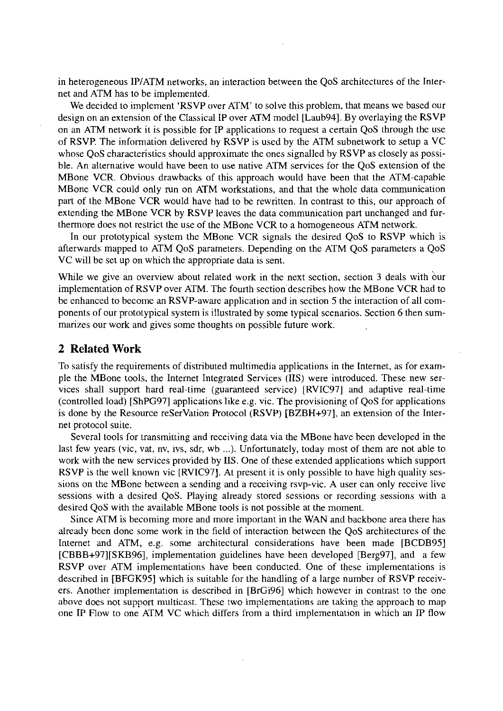in heterogeneous IPIATM networks, an interaction between the QoS architectures of the Internet and ATM has to be implemented.

We decided to implement 'RSVP over ATM' to solve this problem, that means we based our design on an extension of the Classical IP over ATM model [Laub94]. By overlaying the RSVP on an ATM network it is possible for IP applications to request a certain QoS through the use of RSVP. The infomation delivered by RSVP is used by the ATM subnetwork to setup a VC whose QoS characteristics should approximate the ones signalled by RSVP as closely as possible. An alternative would have been to use native ATM services for the QoS extension of the MBone VCR. Obvious drawbacks of this approach would have been that the ATM-capable MBone VCR could only run on ATM workstations, and that the whole data communication part of the MBone VCR would have had to be rewritten. In contrast to this, our approach of extending the MBone VCR by RSVP leaves the data communication part unchanged and furthermore does not restrict the use of the MBone VCR to a homogeneous ATM network.

In our prototypical system the MBone VCR Signals the desired QoS to RSVP which is afterwards mapped to ATM QoS parameters. Depending on the ATM QoS parameters a QoS VC will be set up on which the appropriate data is sent.

While we give an overview about related work in the next section, section 3 deals with our implementation of RSVP over ATM. The fourth section descnbes how the MBone VCR had to be enhanced to become an RSVP-aware application and in section 5 the interaction of all components of our prototypical system is illustrated by some typical scenarios. Section 6 then summarizes our work and gives some thoughts on possible future work.

#### **2 Related Work**

To satisfy the requirements of distributed multimedia applications in the Internet, as for example the MBone tools, the Internet Integrated Services (11s) were introduced. These new services shall support hard real-time (guaranteed sewice) [RVIC97] and adaptive real-time (controlled load) [ShPG97] applications like e.g. vic. The provisioning of QoS for applications is done by the Resource reSerVation Protocol (RSVP) [BZBH+97], an extension of the Internei protocol Suite.

Several tools for transrnitting and receiving data via the MBone have been developed in the last few years (vic, vat, nv, ivs, sdr, wb ...). Unfortunately, today most of them are not able to work with the new services provided by IIS. One of these extended applications which support RSVP is the well known vic [RVIC97]. At present it is only possible to have high quality sessions on the MBone between a sending and a receiving rsvp-vic. A user can only receive live sessions with a desired QoS. Playing already stored sessions or recording sessions with a desired QoS with the available MBone tools is not possible at the moment.

Since ATM is becoming more and more important in the WAN and backbone area there has already been done some work in the field of interaction between the QoS architectures of the Internet and ATM, e.g. some architectural considerations have been made [BCDB95] [CBBB+97][SKB96], implementation guidelines have been developed [Berg97], and a few RSVP over ATM implementations have been conducted. One of these implementations is described in [BFGK95] which is suitable for the handling of a large number of RSVP receivers. Another implementation is described in [BrGi96] which however in contrast to the one above does not support multicast. These two implementations are taking the approach to map one IP Flow to one ATM VC which differs from a third implementation in which an IP flow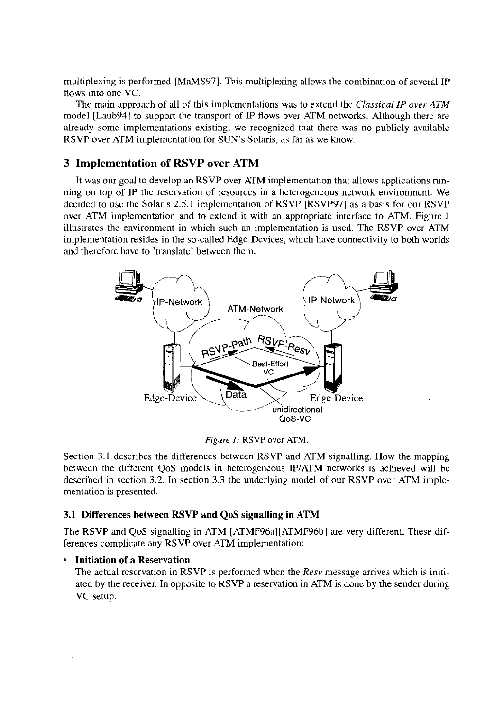multiplexing is performed [MaMS97]. This multiplexing allows the combination of several IP flows into one VC.

The main approach of all of this implementations was to extend the *Classical IP* over *ATM*  model [Laub941 to support the transport of IP flows over ATM networks. Although there are already some implementations existing, we recognized that there was no publicly available RSVP over ATM implementation for SUN's Solaris. as far as we know.

#### **3 Implementation of RSVP over ATM**

It was our goal to develop an RSVP over ATM implementation that allows applications mnning on top of IP the reservation of resources in a heterogeneous network environment. We decided to use the Solaris 2.5.1 implementation of RSVP [RSVP97] as a basis for our RSVP over ATM implementation and to extend it with an appropriate interface to ATM. Figure 1 illustrates the environment in which such an implementation is used. The RSVP over ATM implementation resides in the so-called Edge-Devices, which have connectivity to both worlds and therefore have to 'translate' between them.



*Figirre* I: RSVP over ATM.

Section 3.1 describes the differences between RSVP and ATM signalling. How the mapping between the different QoS models in heterogeneous IPIATM networks is achieved will be described in section 3.2. In section 3.3 the underlying model of our RSVP over ATM implementation is presented.

#### **3.1 Differences between RSVP and QoS signalling in ATM**

The RSVP and QoS signalling in ATM [ATMF96a][ATMF96b] are very different. These differences complicate any RSVP over ATM implementation:

#### **Initiation of a Reservation**

The actual reservation in RSVP is performed when the **Resv** message arrives which is initiated by the receiver. In opposite to RSVP a reservation in ATM is done by the sender during VC setup.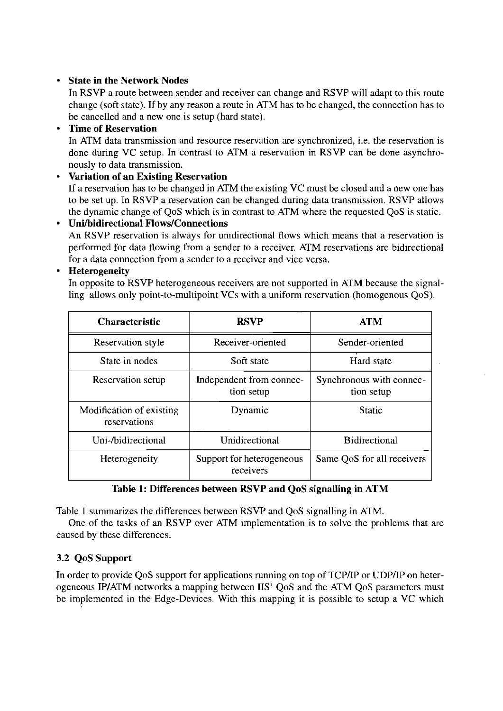# **State in the Network Nodes**

In RSVP a route between sender and receiver can change and RSVP will adapt to this route change (soft state). If by any reason a route in ATM has tobe changed, the connection has to be cancelled and a new one is setup (hard state).

# **Time of Reservation**

In ATM data transrnission and resource reservation are synchronized, i.e. the reservation is done during VC setup. In contrast to ATM a reservation in RSVP can be done asynchronously to data transmission.

## **Variation of an Existing Reservation**

If a reservation has to be changed in ATM the existing VC must be closed and a new one has to be set up. In RSVP a reservation can be changed during data transmission. RSVP allows the dynamic change of QoS which is in contrast to ATM where the requested QoS is static.

#### **•** Uni/bidirectional Flows/Connections

An RSVP reservation is always for unidirectional flows which means that a reservation is performed for data flowing from a sender to a receiver. ATM reservations are bidirectional for a data connection from a sender to a receiver and vice versa.

## **Heterogeneity**

In opposite to RSVP heterogeneous receivers are not supported in ATM because the signalling allows only point-to-multipoint VCs with a uniform reservation (homogenous QoS).

| <b>Characteristic</b>                    | <b>RSVP</b>                            | <b>ATM</b>                             |
|------------------------------------------|----------------------------------------|----------------------------------------|
| Reservation style                        | Receiver-oriented                      | Sender-oriented                        |
| State in nodes                           | Soft state                             | Hard state                             |
| Reservation setup                        | Independent from connec-<br>tion setup | Synchronous with connec-<br>tion setup |
| Modification of existing<br>reservations | Dynamic                                | <b>Static</b>                          |
| Uni-/bidirectional                       | Unidirectional                         | <b>Bidirectional</b>                   |
| Heterogeneity                            | Support for heterogeneous<br>receivers | Same QoS for all receivers             |

## **Table 1: Differences between RSVP and QoS signalling in ATM**

Table 1 summarizes the differences between RSVP and QoS signalling in ATM.

One of the tasks of an RSVP over ATM implementation is to solve the problems that are caused by these differences

## **3.2 QoS Support**

In order to provide QoS support for applications running on top of TCP/IP or UDP/IP on heterogeneous IPIATM networks a mapping between IIS' QoS and the ATM QoS Parameters must be implemented in the Edge-Devices. With this mapping it is possible to setup a VC which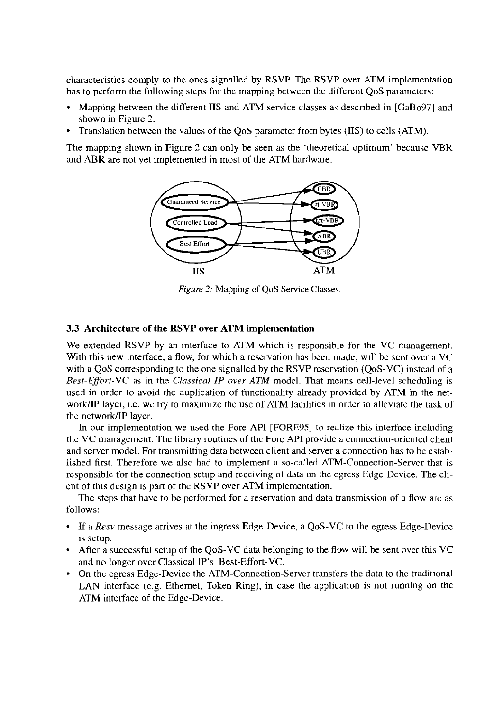characteristics comply to the ones signalled by RSVP. The RSVP over ATM implementation has to perform the following steps for the mapping between the different QoS parameters:

- Mapping between the different IIS and ATM service classes as described in [GaBo97] and shown in Figure 2.
- Translation between the values of the QoS parameter from bytes (IIS) to cells (ATM).

The mapping shown in Figure 2 can only be seen as the 'theoretical optimum' because VBR and ABR are not yet implemented in most of the ATM hardware.



**Figure** 2: Mapping of QoS Service Classes

#### **3.3 Architecture of the RSVP over ATM implementation**

We extended RSVP by an interface to ATM which is responsible for the VC management. With this new interface, a flow, for which a reservation has been made, will be sent over a VC with a QoS corresponding to the one signalled by the RSVP reservation (QoS-VC) instead of a Best-Effort-VC as in the Classical *IP* over ATM model. That means cell-level scheduling is used in order to avoid the duplication of functionality already provided by ATM in the network/IP layer, i.e. we try to maximize the use of ATM facilities in order to alleviate the task of the network/IP layer.

In our implementation we used the Fore-API [FORE951 to realize this interface including the VC management. The library routines of the Fore API provide a connection-oriented client and server model. For transmitting data between client and server a connection has tobe established first. Therefore we also had to implement a so-called ATM-Connection-Server that is responsible for the connection setup and receiving of data on the egress Edge-Device. The client of this design is part of the RSVP over ATM implementation.

The steps that have to be performed for a reservation and data transmission of a flow are as follows:

- If a Resv message arrives at the ingress Edge-Device, a QoS-VC to the egress Edge-Device is setup.
- After a successful setup of the QoS-VC data belonging to the flow will be sent over this VC and no longer over Classical IP's Best-Effort-VC.
- On the egress Edge-Device the ATM-Connection-Server transfers the data to the traditional LAN interface (e.g. Ethernet, Token Ring), in case the application is not running on the ATM interface of the Edge-Device.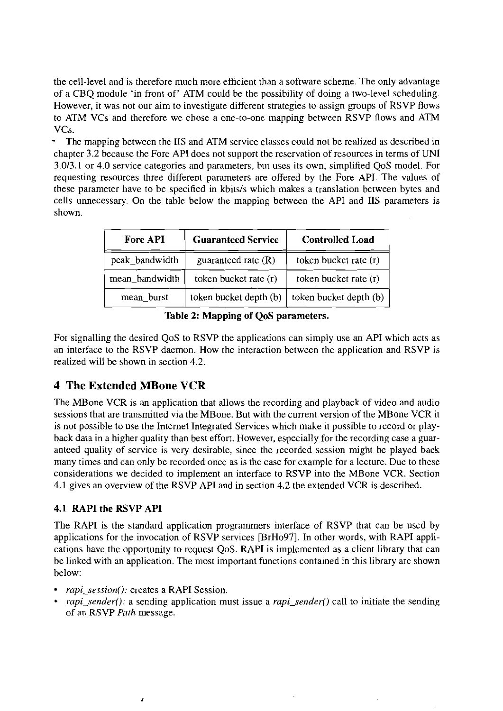the cell-level and is therefore much more eficient than a software scheme. The only advantage of a CBQ module 'in front of' ATM could be the possibility of doing a two-level scheduling. However, it was not our aim to investigate different strategies to assign groups of RSVP flows to ATM VCs and therefore we chose a one-to-one mapping between RSVP flows and ATM vcs.

The mapping between the IIS and ATM service classes could not be realized as described in chapter 3.2 because the Fore API does not Support the reservation of resources in terms of UNI 3.013.1 or 4.0 service categories and parameters, but uses its own, simplified QoS model. For requesting resources three different parameters are offered by the Fore API. The values of these parameter have to be specified in kbits/s which makes a translation between bytes and cells unnecessary. On the table below the mapping between the API and IIS Parameters is shown.

| <b>Fore API</b> | <b>Guaranteed Service</b> | <b>Controlled Load</b> |
|-----------------|---------------------------|------------------------|
| peak_bandwidth  | guaranteed rate $(R)$     | token bucket rate (r)  |
| mean_bandwidth  | token bucket rate (r)     | token bucket rate (r)  |
| mean_burst      | token bucket depth (b)    | token bucket depth (b) |

**Table 2: Mapping of QoS parameters.** 

For signalling the desired QoS to RSVP the applications can simply use an API which acts as an interface to the RSVP daemon. How the interaction between the application and RSVP is realized will be shown in section 4.2.

# **4 The Extended MBone VCR**

The MBone VCR is an application that allows the recording and playback of video and audio sessions that are transmitted via the MBone. But with the current version of the MBone VCR it is not possible to use the Intemet Integrated Services which make it possible to record or playback data in a higher quality than best effort. However, especially for the recording case a guaranteed quality of service is very desirable, since the recorded session might be played back many times and can only be recorded once as is the case for example for a lecture. Due to these considerations we decided to implement an interface to RSVP into the MBone VCR. Section 4.1 gives an overview of the RSVP API and in section 4.2 the extended VCR is described.

# **4.1 RAPI the RSVP API**

The RAPI is the standard application programmers interface of RSVP that can be used by applications for the invocation of RSVP services [BrHo97]. In other words, with RAPI applications have the opportunity to request QoS. RAPI is implemented as a client library that can be linked with an application. The most important functions contained in this library are shown below:

rapi-session(): creates a RAPI Session.

z

rapi sender(): a sending application must issue a rapi sender() call to initiate the sending  $\bullet$ of an RSVP *Poch* message.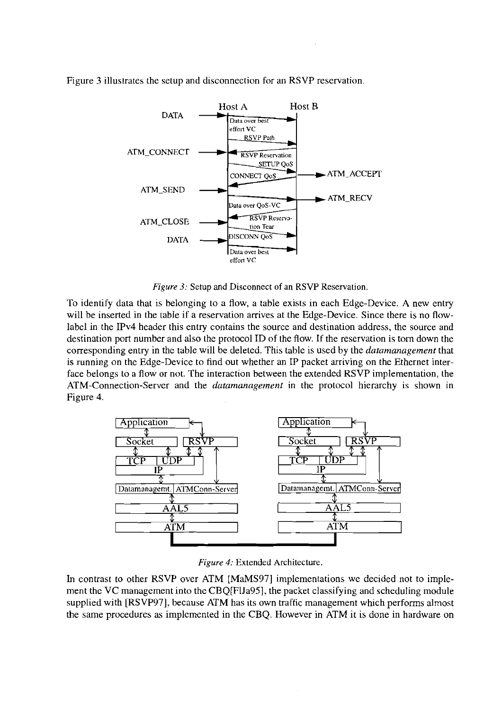Figure **3** illustrates the setup and disconnection for an RSVP reservation.



*Figure 3:* Setup and Disconnect of an RSVP Reservation

To identify data that is belonging to a flow, a table exists in each Edge-Device. A new entry will be inserted in the table if a reservation arrives at the Edge-Device. Since there is no flowlabel in the IPv4 header this entry contains the source and destination address, the source and destination port number and also the protocol ID of the flow. If the reservation is tom down the corresponding entry in the table will be deleted. This table is used by the *dafamanagement* that is running on the Edge-Device to find out whether an IP packet arriving on the Ethernet interface belongs to a flow or not. The interaction hetween the extended RSVP implementation, the ATM-Connection-Server and the *dafamanagement* in the protocol hierarchy is shown in Figure 4.



*Figure 4:* Extended Architecture.

In contrast to other RSVP over ATM [MaMS97] implementations we decided not to implement the VC management into the CBQ[FIJa95], the packet classifying and scheduling module supplied with [RSVP97]. because ATM has its own traffic management which performs almost the same procedures as implemented in the CBQ. However in ATM it is done in hardware on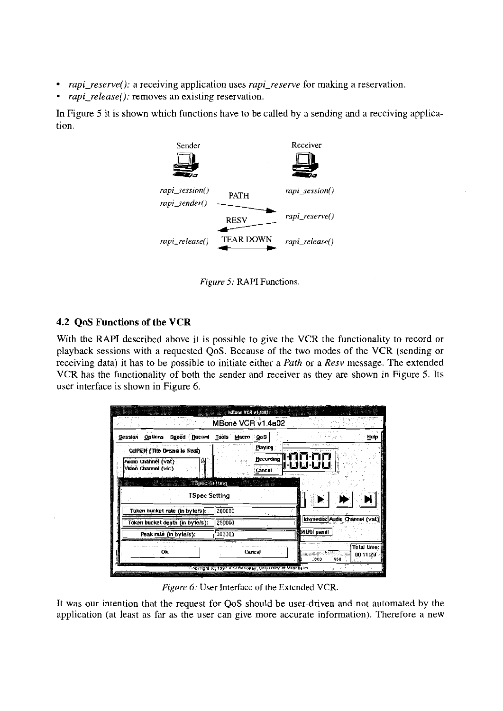- *rapi-reserve():* a receiving application uses *rapi-reserve* for making a reservation.
- *rapi\_release():* removes an existing reservation.

In Figure 5 it is shown which functions have to be called by a sending and a receiving application.



*Figure 5:* **RAPI Functions.** 

## **4.2 QoS Functions of the VCR**

With the RAPI described above it is possible to give the VCR the functionality to record or playback sessions with a requested QoS. Because of the two modes of the VCR (sending or receiving düta) it has to be possible to initiate either a *Path* or a *Resv* message. The extended VCR has the functionality of both the sender and receiver as they are shown in Figure 5. Its user interface is shown in Figure 6.

|                                                          | MBone VCR v1.4a\$2        |                                       |  |
|----------------------------------------------------------|---------------------------|---------------------------------------|--|
|                                                          | MBone VCR v1.4a02         |                                       |  |
| Speed Record<br>Options<br>Session                       | <b>QoS</b><br>Tools Macro | Help                                  |  |
| ColREN (This Dream is Real)                              | Haying                    | Chartopolita al-                      |  |
| Audio Channel (vat)<br>Video Channel (vic)               | Recording 1-<br>Cancel    |                                       |  |
| ENANGURONISTER<br>T Spec Setting                         |                           |                                       |  |
| TSpec Setting                                            |                           |                                       |  |
| Token bucket rate (in byte/s):                           | 200000                    |                                       |  |
| Token bucket depth (in byte/s):                          | 250000                    | Idxmedia: Audio Channel (vat)         |  |
| Peak rate (in byte/s):                                   | 300000                    | <b>ontrol</b> panel                   |  |
| 0k                                                       | <b>Cancel</b>             | Total time:<br>00:11:20<br>000<br>660 |  |
| Copyright (C) 1997 ICSI Berkeley, University of Mannheim |                           |                                       |  |

*Figure* 6: User Interface of the Extended VCR.

It was our intention that the request for QoS should be user-driven and not automated by the application (at least as far as the User can give more accurate information). Therefore a new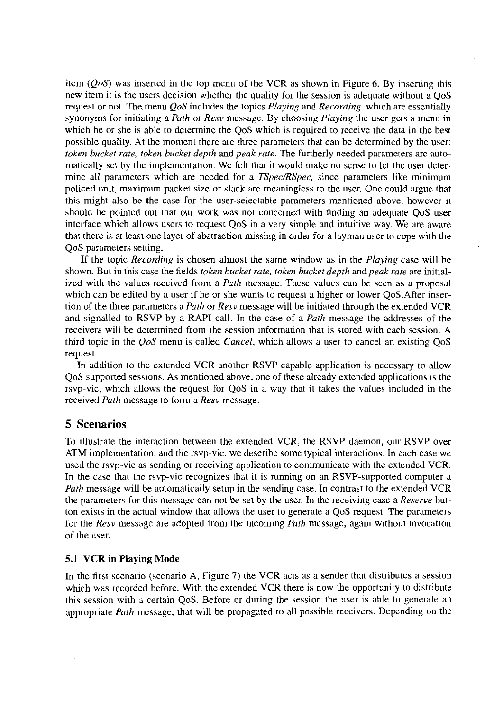item  $(QoS)$  was inserted in the top menu of the VCR as shown in Figure 6. By inserting this new item it is the users decision whether the quality for the session is adequate without a QoS request or not. The menu *QoS* includes the topics *Playing* and *Recording,* which are essentially synonyms for initiating a *Path* or *Resv* message. By choosing *Playing* the User gets a menu in which he or she is able to determine the QoS which is required to receive the data in the best possible quality. At the moment there are three parameters that can be determined by the user: *token bucket rate, token bucket depth* and *peak rate*. The furtherly needed parameters are automatically set by the implementation. We felt that it would make no sense to let the user determine all parameters which are needed for a *TSpec/RSpec*, since parameters like minimum policed unit, maximum packet size or slack are meaningless to the user. One could argue that this might also be the case for the user-selectable parameters mentioned above, however it should be pointed out that our work was not concerned with finding an adequate OoS user interface which allows users to request QoS in a very simple and intuitive way. We are aware that there is at least one layer of abstraction missing in order for a layman User to cope with the QoS parameters setting.

If the topic *Recordirig* is chosen almost the Same window as in the *Playing* case will be shown. But in this case the fields *token bucket rate, token bucket depth* and *peak rate* are initialized with the values received from a *Path* message. These values can be seen as a proposal which can be edited by a user if he or she wants to request a higher or lower QoS. After insertion of the three parameters a *Path* or *Resv* message will be initiated through the extended VCR and signalled to RSVP by a RAP1 call. In the case of a *Path* message the addresses of the receivers will be determined from the session information that is stored with each session. A third topic in the  $QoS$  menu is called *Cancel*, which allows a user to cancel an existing  $QoS$ request.

In addition to the extended VCR another RSVP capable application is necessary to allow QoS supported sessions. As mentioned above, one of these already extended applications is the rsvp-vic, which allows the request for QoS in a way that it takes the values included in the received *Path* message to form a *Resv* message.

#### **5 Scenarios**

To illustrate the interaction between the extended VCR, the RSVP daemon. our RSVP over ATM implementation, and the rsvp-vic. we describe some typical interactions. In each case we used the rsvp-vic as sending or receiving application to communicate with the extended VCR. In the case that the rsvp-vic recognizes that it is running on an RSVP-supported computer a *Path* message will be automatically setup in the sending case. In contrast to the extended VCR the parameters for this message can not be set by the user. In the receiving case a *Reserve* button exists in the actual window that allows the User to generate a QoS request. The parameters for the *Resv* message are adopted from the incoming *Path* message, again without invocation of the user.

#### **5.1 VCR in Playing Mode**

In the first scenario (scenario A, Figure 7) the VCR acts as a sender that distributes a session which was recorded before. With the extended VCR there is now the opportunity to distribute this session with a certain QoS. Before or during the session the User is able to generate an appropriate *Path* message, that will be propagated to all possible receivers. Depending on the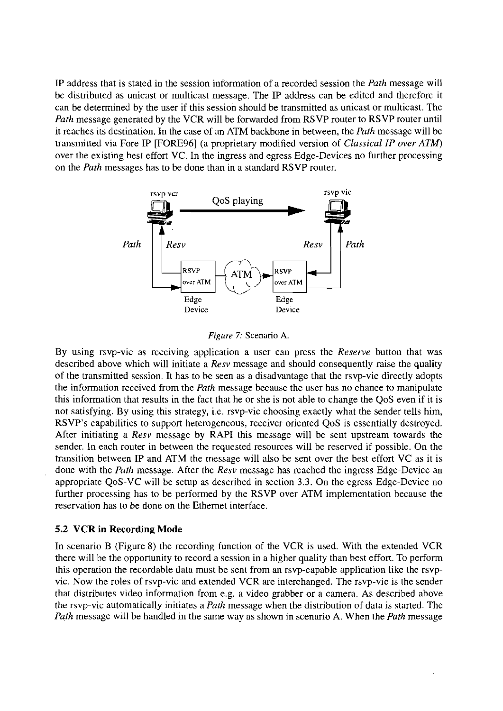IP address that is stated in the session information of a recorded session the *Path* message will be distributed as unicast or multicast message. The IP address can be edited and therefore it can be determined by the User if this session should be transmitted as unicast or multicast. The *Path* message generated by the VCR will be forwarded from RSVP router to RSVP router until it reaches its destination. In the case of an ATM backbone in between, the *Path* message will be transniitted via Fore IP [FORE961 (a proprietary modified version of *Classical IP over ATM)*  over the existing best effort VC. In the ingress and egress Edge-Devices no further processing on the *Parh* messages has tobe done than in a standard RSVP router.





By using rsvp-vic as receiving application a User can press the *Reserve* button that was described above which will initiate a *Resv* message and should consequently raise the quality of the transmitted session. It has to be seen as a disadvantage that the rsvp-vic directly adopts the information received from the *Patli* message because the User has no chance to manipulate this information that results in the fact that he or she is not able to change the QoS even if it is not satisfying. By using this strategy, i.e. rsvp-vic choosing exactly what the sender tells him, RSVP's capabilities to support heterogeneous, receiver-oriented QoS is essentially destroyed. After initiating a *Resv* message by RAP1 this message will be sent upstream towards the sender. In each router in between the requested resources will be reserved if possible. On the transition between IP and ATM the rnessage will also be sent over the best effort VC as it is done with the *Path* message. After the *Resv* message has reached the ingress Edge-Device an appropriate QoS-VC will be setup as described in section **3.3.** On the egress Edge-Device no further processing has to be performed by the RSVP over ATM implementation because the reservation has to be done on the Ethemet interface.

#### **5.2 VCR in Recording Mode**

In scenario B (Figure 8) the recording function of the VCR is used. With the extended VCR there will be the opportunity to record a session in a higher quaiity than best effort. To perform this operation the recordable data must be sent from an rsvp-capable application like the rsvpvic. Now the roles of rsvp-vic and extended VCR are interchanged. The rsvp-vic is the sender that distributes video information from e.g. a video grabber or a camera. As described above the rsvp-vic automatically initiates a *Path* message when the distribution of data is started. The *Path* message will be handled in the same way as shown in scenario A. When the *Path* message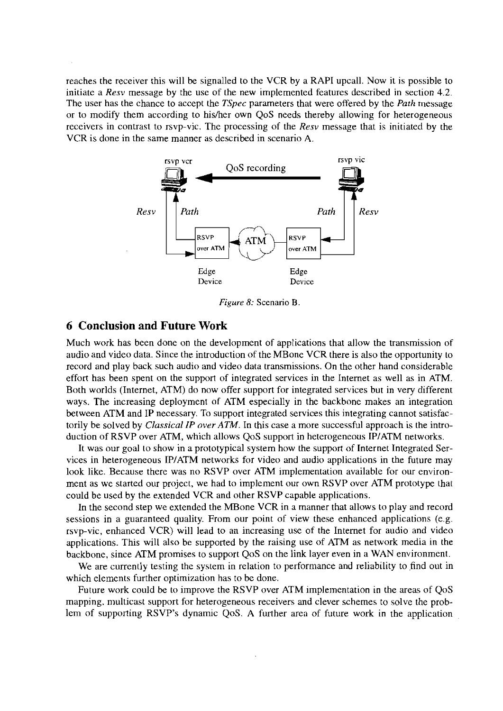reaches the receiver this will be signalled to the VCR by a RAP1 upcall. Now it is possible to initiate a *Resv* message by the use of the new implemented features described in section 4.2. The User has the chance to accept the *TSpec* Parameters that were offered by the *Path* message or to modify them according to hisher own QoS needs thereby allowing for heterogeneous receivers in contrast to rsvp-vic. The processing of the *Resv* message that is initiated by the VCR is done in the same manner as described in scenario A.



*Figure 8:* Scenario *B.* 

## **6 Conclusion and Future Work**

Much work has been done on the development of applications that allow the transmission of audio and video data. Since the introduction of the MBone VCR there is also the opporiunity to record and play back such audio and video data transmissions. On the other hand considerable effort has been spent on the support of integrated services in the Internet as well as in ATM. Both worlds (Internet, ATM) do now offer support for integrated services but in very different ways. The increasing deployment of ATM especially in the backbone makes an integration between ATM and IP necessary. To support integrated services this integrating cannot satisfactorily be solved by *Classical IP over ATM.* In this case a more successful approach is the introduction of RSVP over ATM, which allows QoS support in heterogeneous IPIATM networks.

It was our goal to show in a prototypical system how the support of Internet Integrated Services in heterogeneous IPIATM networks for video and audio applications in the future may look like. Because there was no RSVP over ATM implementation available for our environment as we started our project, we had to implement our own RSVP over ATM Prototype that could be used by the extended VCR and other RSVP capable applications.

In the second step we extended the MBone VCR in a manner that allows to play and record sessions in a guaranteed quality. From our point of view these enhanced applications (e.g. rsvp-vic, enhanced VCR) will lead to an increasing use of the Internet for audio and video applications. This will also be supported by the raising use of ATM as network media in the backbone, since ATM promises to support QoS on the link layer even in a WAN environment.

We are currently testing the system in relation to performance and reliability to find out in which elements further optimization has to be done.

Future work could be to improve the RSVP over ATM implementation in the areas of QoS mapping, multicast support for heterogeneous receivers and clever schemes to solve the problem of supporiing RSVP's dynamic QoS. A further area of future work in the application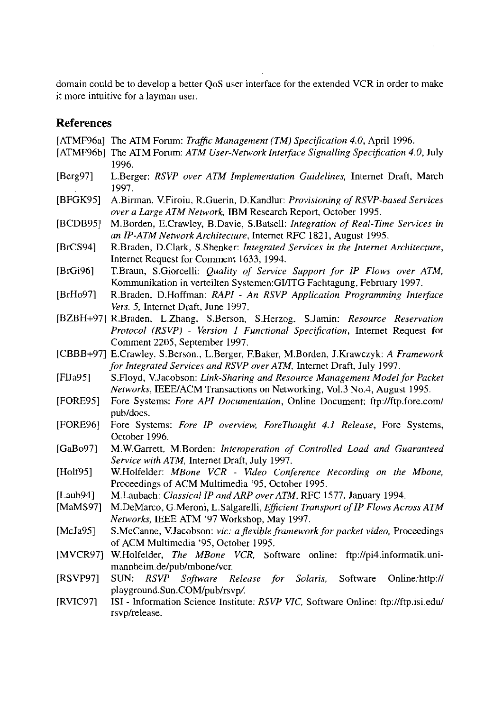domain could be to develop a better QoS User interface for the extended VCR in order to make it more intuitive for a layman user.

# **References**

- [ATMF96a] The ATM Forum: *Traffic Management (TM) Specification 4.0*, April 1996.
- [ATMF96b] The ATM Forum: *ATM User-Network Interface Signalling Specification 4.0*, July 1996.
- [Berg971 L.Berger: *RSVP over ATM Implementation Guidelines,* Intemet Draft, March 1997.
- [BFGK95] A.Binnan, V.Firoiu, R.Guerin, D.Kandlur: *Provisioning of RSVP-based Services over a Large ATM Network,* IBM Research Report, October 1995.
- [BCDB95] M.Borden, E.Crawley, B.Davie. S.Batsel1: *Integration of Real-Time Services in an IP-ATM Network Architecture.* Intemet RFC 1821, August 1995.
- [BrCS94] R.Braden, D.Clark, S.Shenker: *Ititegrated Services in the Interner Architecture,*  Intemet Request for Comment 1633, 1994.
- [BrGi96] T.Braun, S.Giorcelli: *Quality of Service Support for IP Flows over ATM,*  Kommunikation in verteilten Systemen:GVITG Fachtagung, February 1997.
- [BrHo97] R.Braden, D.Hoffman: *RAPI An RSVP Applicatioti Programming Interface Vers. 5,* Intemet Draft, June 1997.
- [BZBH+97] R.Braden, L.Zhang, S.Berson, S.Herzog. S.Jarnin: *Resource Reservation Protocol (RSVP)* - *Version 1 Functional Spec(fication,* Intemet Request for Comment 2205, September 1997.
- [CBBB+97] E.Crawley, S.Berson., L.Berger, F.Baker, M.Borden, J.Krawczyk: A Framework *for Integrated Services und RSVP over ATM,* Intemet Draft, July 1997.
- [FlJa95] S.Floyd, V.Jacobson: *Link-Sharing and Resource Management Model for Packet Networks, IEEE/ACM Transactions on Networking, Vol.3 No.4, August 1995.*
- [FORE95] Fore Systems: *Fore API Documentation*, Online Document: ftp://ftp.fore.com/ pub/docs.
- [FORE961 Fore Systems: *Fore IP overview, ForeThought 4.1 Release,* Fore Systems, October 1996.
- [GaBo97] M.W.Garrett, M.Borden: *lnteroperation of Controlled Load und Guaranteed Service with ATM,* Internet Draft, July 1997.
- [Half951 W.Holfelder: *MBone VCR Video Conference Recording on the Mbone,*  Proceedings of ACM Multimedia '95, October 1995.
- [Laub941 M.Laubach: *Classicai IP and ARP overATM,* RFC 1577, January 1994.
- [MaMS97] M.DeMarco, G.Meroni, L.Salgarelli, *Efficient Transport of IP Flows Across ATM Networks,* IEEE ATM '97 Workshop, May 1997.
- [McJa95] S.McCanne, V.Jacobson: *vic: a flexible framework for packet video*, Proceedings of ACM Multimedia '95, October 1995.
- [MVCR97] W.Holfelder, *The MBone VCR*, Software online: ftp://pi4.informatik.unimannheim.de/pub/mbone/vcr.
- [RSVP97] SUN: *RSVP Software Release for Solaris,* Software Online:http:// playground.Sun.COM/pub/rsvp/.
- [RVIC97] ISI Information Science Institute: *RSVP VIC,* Software Online: ftp://ftp.isi.edu/ rsvplrelease.